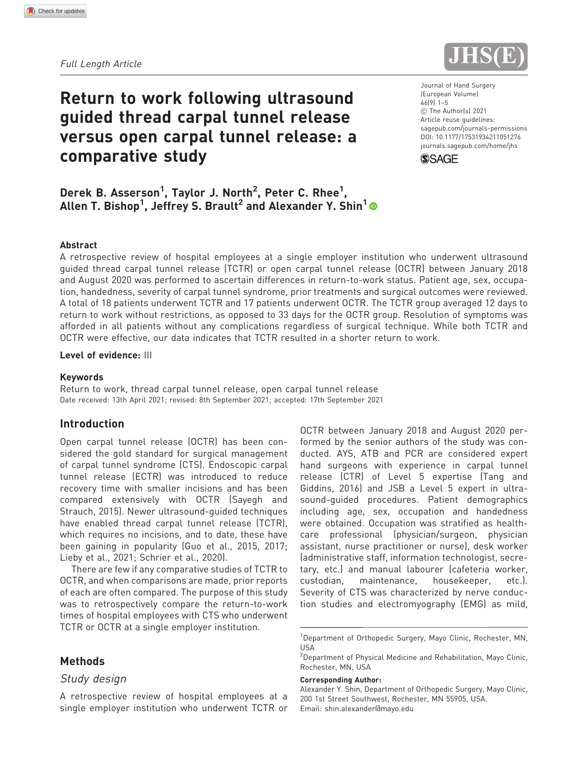Full Length Article



# Return to work following ultrasound guided thread carpal tunnel release versus open carpal tunnel release: a comparative study

Derek B. Asserson<sup>1</sup>, Taylor J. North<sup>2</sup>, Peter C. Rhee<sup>1</sup>, Allen T. Bishop $^1$ , Jeffrey S. Brault $^2$  and Alexander Y. Shin $^1$  Journal of Hand Surgery (European Volume) 46(9) 1–5  $©$  The Author(s) 2021 Article reuse guidelines: [sagepub.com/journals-permissions](https://us.sagepub.com/en-us/journals-permissions) DOI: [10.1177/17531934211051276](https://doi.org/10.1177/17531934211051276) <journals.sagepub.com/home/jhs>



#### Abstract

A retrospective review of hospital employees at a single employer institution who underwent ultrasound guided thread carpal tunnel release (TCTR) or open carpal tunnel release (OCTR) between January 2018 and August 2020 was performed to ascertain differences in return-to-work status. Patient age, sex, occupation, handedness, severity of carpal tunnel syndrome, prior treatments and surgical outcomes were reviewed. A total of 18 patients underwent TCTR and 17 patients underwent OCTR. The TCTR group averaged 12 days to return to work without restrictions, as opposed to 33 days for the OCTR group. Resolution of symptoms was afforded in all patients without any complications regardless of surgical technique. While both TCTR and OCTR were effective, our data indicates that TCTR resulted in a shorter return to work.

## Level of evidence: III

#### Keywords

Return to work, thread carpal tunnel release, open carpal tunnel release Date received: 13th April 2021; revised: 8th September 2021; accepted: 17th September 2021

## Introduction

Open carpal tunnel release (OCTR) has been considered the gold standard for surgical management of carpal tunnel syndrome (CTS). Endoscopic carpal tunnel release (ECTR) was introduced to reduce recovery time with smaller incisions and has been compared extensively with OCTR (Sayegh and Strauch, 2015). Newer ultrasound-guided techniques have enabled thread carpal tunnel release (TCTR), which requires no incisions, and to date, these have been gaining in popularity (Guo et al., 2015, 2017; Lieby et al., 2021; Schrier et al., 2020).

There are few if any comparative studies of TCTR to OCTR, and when comparisons are made, prior reports of each are often compared. The purpose of this study was to retrospectively compare the return-to-work times of hospital employees with CTS who underwent TCTR or OCTR at a single employer institution.

## Methods

### Study design

A retrospective review of hospital employees at a single employer institution who underwent TCTR or OCTR between January 2018 and August 2020 performed by the senior authors of the study was conducted. AYS, ATB and PCR are considered expert hand surgeons with experience in carpal tunnel release (CTR) of Level 5 expertise (Tang and Giddins, 2016) and JSB a Level 5 expert in ultrasound-guided procedures. Patient demographics including age, sex, occupation and handedness were obtained. Occupation was stratified as healthcare professional (physician/surgeon, physician assistant, nurse practitioner or nurse), desk worker (administrative staff, information technologist, secretary, etc.) and manual labourer (cafeteria worker, custodian, maintenance, housekeeper, etc.). Severity of CTS was characterized by nerve conduction studies and electromyography (EMG) as mild,

#### Corresponding Author:

Alexander Y. Shin, Department of Orthopedic Surgery, Mayo Clinic, 200 1st Street Southwest, Rochester, MN 55905, USA. Email: shin.alexander@mayo.edu

<sup>&</sup>lt;sup>1</sup>Department of Orthopedic Surgery, Mayo Clinic, Rochester, MN, USA

<sup>&</sup>lt;sup>2</sup>Department of Physical Medicine and Rehabilitation, Mayo Clinic, Rochester, MN, USA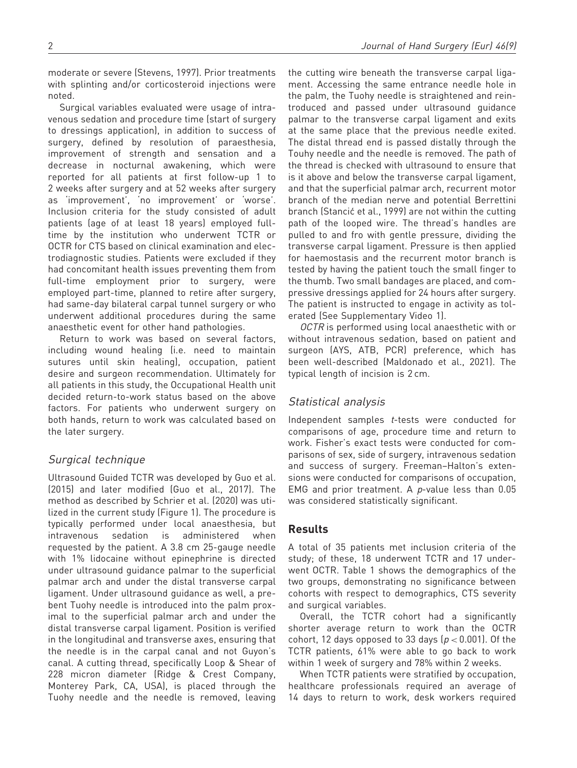moderate or severe (Stevens, 1997). Prior treatments with splinting and/or corticosteroid injections were noted.

Surgical variables evaluated were usage of intravenous sedation and procedure time (start of surgery to dressings application), in addition to success of surgery, defined by resolution of paraesthesia, improvement of strength and sensation and a decrease in nocturnal awakening, which were reported for all patients at first follow-up 1 to 2 weeks after surgery and at 52 weeks after surgery as 'improvement', 'no improvement' or 'worse'. Inclusion criteria for the study consisted of adult patients (age of at least 18 years) employed fulltime by the institution who underwent TCTR or OCTR for CTS based on clinical examination and electrodiagnostic studies. Patients were excluded if they had concomitant health issues preventing them from full-time employment prior to surgery, were employed part-time, planned to retire after surgery, had same-day bilateral carpal tunnel surgery or who underwent additional procedures during the same anaesthetic event for other hand pathologies.

Return to work was based on several factors, including wound healing (i.e. need to maintain sutures until skin healing), occupation, patient desire and surgeon recommendation. Ultimately for all patients in this study, the Occupational Health unit decided return-to-work status based on the above factors. For patients who underwent surgery on both hands, return to work was calculated based on the later surgery.

## Surgical technique

Ultrasound Guided TCTR was developed by Guo et al. (2015) and later modified (Guo et al., 2017). The method as described by Schrier et al. (2020) was utilized in the current study (Figure 1). The procedure is typically performed under local anaesthesia, but intravenous sedation is administered when requested by the patient. A 3.8 cm 25-gauge needle with 1% lidocaine without epinephrine is directed under ultrasound guidance palmar to the superficial palmar arch and under the distal transverse carpal ligament. Under ultrasound guidance as well, a prebent Tuohy needle is introduced into the palm proximal to the superficial palmar arch and under the distal transverse carpal ligament. Position is verified in the longitudinal and transverse axes, ensuring that the needle is in the carpal canal and not Guyon's canal. A cutting thread, specifically Loop & Shear of 228 micron diameter (Ridge & Crest Company, Monterey Park, CA, USA), is placed through the Tuohy needle and the needle is removed, leaving

the cutting wire beneath the transverse carpal ligament. Accessing the same entrance needle hole in the palm, the Tuohy needle is straightened and reintroduced and passed under ultrasound guidance palmar to the transverse carpal ligament and exits at the same place that the previous needle exited. The distal thread end is passed distally through the Touhy needle and the needle is removed. The path of the thread is checked with ultrasound to ensure that is it above and below the transverse carpal ligament, and that the superficial palmar arch, recurrent motor branch of the median nerve and potential Berrettini branch (Stancić et al., 1999) are not within the cutting path of the looped wire. The thread's handles are pulled to and fro with gentle pressure, dividing the transverse carpal ligament. Pressure is then applied for haemostasis and the recurrent motor branch is tested by having the patient touch the small finger to the thumb. Two small bandages are placed, and compressive dressings applied for 24 hours after surgery. The patient is instructed to engage in activity as tolerated (See Supplementary Video 1).

OCTR is performed using local anaesthetic with or without intravenous sedation, based on patient and surgeon (AYS, ATB, PCR) preference, which has been well-described (Maldonado et al., 2021). The typical length of incision is 2 cm.

## Statistical analysis

Independent samples t-tests were conducted for comparisons of age, procedure time and return to work. Fisher's exact tests were conducted for comparisons of sex, side of surgery, intravenous sedation and success of surgery. Freeman–Halton's extensions were conducted for comparisons of occupation, EMG and prior treatment. A  $p$ -value less than 0.05 was considered statistically significant.

## Results

A total of 35 patients met inclusion criteria of the study; of these, 18 underwent TCTR and 17 underwent OCTR. Table 1 shows the demographics of the two groups, demonstrating no significance between cohorts with respect to demographics, CTS severity and surgical variables.

Overall, the TCTR cohort had a significantly shorter average return to work than the OCTR cohort, 12 days opposed to 33 days ( $p < 0.001$ ). Of the TCTR patients, 61% were able to go back to work within 1 week of surgery and 78% within 2 weeks.

When TCTR patients were stratified by occupation, healthcare professionals required an average of 14 days to return to work, desk workers required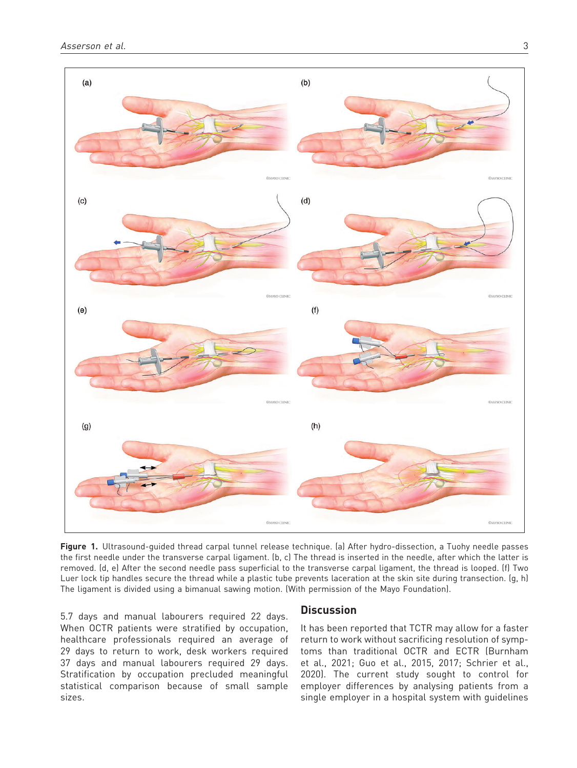

Figure 1. Ultrasound-guided thread carpal tunnel release technique. (a) After hydro-dissection, a Tuohy needle passes the first needle under the transverse carpal ligament. (b, c) The thread is inserted in the needle, after which the latter is removed. (d, e) After the second needle pass superficial to the transverse carpal ligament, the thread is looped. (f) Two Luer lock tip handles secure the thread while a plastic tube prevents laceration at the skin site during transection. (g, h) The ligament is divided using a bimanual sawing motion. (With permission of the Mayo Foundation).

5.7 days and manual labourers required 22 days. When OCTR patients were stratified by occupation, healthcare professionals required an average of 29 days to return to work, desk workers required 37 days and manual labourers required 29 days. Stratification by occupation precluded meaningful statistical comparison because of small sample sizes.

## **Discussion**

It has been reported that TCTR may allow for a faster return to work without sacrificing resolution of symptoms than traditional OCTR and ECTR (Burnham et al., 2021; Guo et al., 2015, 2017; Schrier et al., 2020). The current study sought to control for employer differences by analysing patients from a single employer in a hospital system with guidelines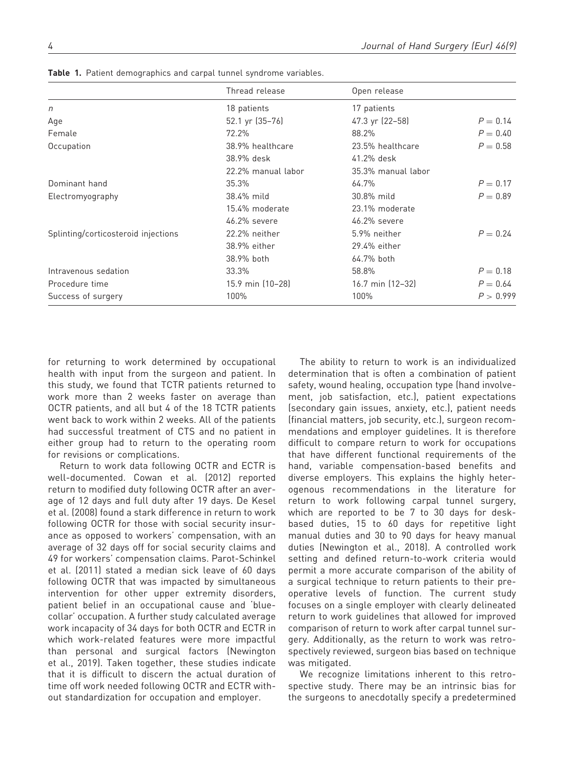|                                     | Thread release     | Open release       |            |
|-------------------------------------|--------------------|--------------------|------------|
| $\eta$                              | 18 patients        | 17 patients        |            |
| Age                                 | 52.1 yr (35-76)    | 47.3 yr (22-58)    | $P = 0.14$ |
| Female                              | 72.2%              | 88.2%              | $P = 0.40$ |
| Occupation                          | 38.9% healthcare   | 23.5% healthcare   | $P = 0.58$ |
|                                     | 38.9% desk         | 41.2% desk         |            |
|                                     | 22.2% manual labor | 35.3% manual labor |            |
| Dominant hand                       | 35.3%              | 64.7%              | $P = 0.17$ |
| Electromyography                    | 38.4% mild         | 30.8% mild         | $P = 0.89$ |
|                                     | 15.4% moderate     | 23.1% moderate     |            |
|                                     | 46.2% severe       | 46.2% severe       |            |
| Splinting/corticosteroid injections | 22.2% neither      | 5.9% neither       | $P = 0.24$ |
|                                     | 38.9% either       | 29.4% either       |            |
|                                     | 38.9% both         | 64.7% both         |            |
| Intravenous sedation                | 33.3%              | 58.8%              | $P = 0.18$ |
| Procedure time                      | 15.9 min (10-28)   | 16.7 min (12-32)   | $P = 0.64$ |
| Success of surgery                  | 100%               | 100%               | P > 0.999  |

Table 1. Patient demographics and carpal tunnel syndrome variables.

for returning to work determined by occupational health with input from the surgeon and patient. In this study, we found that TCTR patients returned to work more than 2 weeks faster on average than OCTR patients, and all but 4 of the 18 TCTR patients went back to work within 2 weeks. All of the patients had successful treatment of CTS and no patient in either group had to return to the operating room for revisions or complications.

Return to work data following OCTR and ECTR is well-documented. Cowan et al. (2012) reported return to modified duty following OCTR after an average of 12 days and full duty after 19 days. De Kesel et al. (2008) found a stark difference in return to work following OCTR for those with social security insurance as opposed to workers' compensation, with an average of 32 days off for social security claims and 49 for workers' compensation claims. Parot-Schinkel et al. (2011) stated a median sick leave of 60 days following OCTR that was impacted by simultaneous intervention for other upper extremity disorders, patient belief in an occupational cause and 'bluecollar' occupation. A further study calculated average work incapacity of 34 days for both OCTR and ECTR in which work-related features were more impactful than personal and surgical factors (Newington et al., 2019). Taken together, these studies indicate that it is difficult to discern the actual duration of time off work needed following OCTR and ECTR without standardization for occupation and employer.

The ability to return to work is an individualized determination that is often a combination of patient safety, wound healing, occupation type (hand involvement, job satisfaction, etc.), patient expectations (secondary gain issues, anxiety, etc.), patient needs (financial matters, job security, etc.), surgeon recommendations and employer guidelines. It is therefore difficult to compare return to work for occupations that have different functional requirements of the hand, variable compensation-based benefits and diverse employers. This explains the highly heterogenous recommendations in the literature for return to work following carpal tunnel surgery, which are reported to be 7 to 30 days for deskbased duties, 15 to 60 days for repetitive light manual duties and 30 to 90 days for heavy manual duties (Newington et al., 2018). A controlled work setting and defined return-to-work criteria would permit a more accurate comparison of the ability of a surgical technique to return patients to their preoperative levels of function. The current study focuses on a single employer with clearly delineated return to work guidelines that allowed for improved comparison of return to work after carpal tunnel surgery. Additionally, as the return to work was retrospectively reviewed, surgeon bias based on technique was mitigated.

We recognize limitations inherent to this retrospective study. There may be an intrinsic bias for the surgeons to anecdotally specify a predetermined